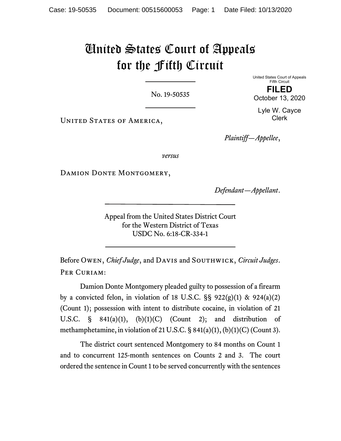## United States Court of Appeals for the Fifth Circuit

No. 19-50535

United States Court of Appeals Fifth Circuit FILED

October 13, 2020

UNITED STATES OF AMERICA,

Lyle W. Cayce Clerk

Plaintiff—Appellee,

versus

DAMION DONTE MONTGOMERY,

Defendant—Appellant.

Appeal from the United States District Court for the Western District of Texas USDC No. 6:18-CR-334-1

Before OWEN, Chief Judge, and DAVIS and SOUTHWICK, Circuit Judges. PER CURIAM:

Damion Donte Montgomery pleaded guilty to possession of a firearm by a convicted felon, in violation of 18 U.S.C.  $\S$ § 922(g)(1) & 924(a)(2) (Count 1); possession with intent to distribute cocaine, in violation of 21 U.S.C.  $\S$  841(a)(1), (b)(1)(C) (Count 2); and distribution of methamphetamine, in violation of 21 U.S.C. § 841(a)(1), (b)(1)(C) (Count 3).

The district court sentenced Montgomery to 84 months on Count 1 and to concurrent 125-month sentences on Counts 2 and 3. The court ordered the sentence in Count 1 to be served concurrently with the sentences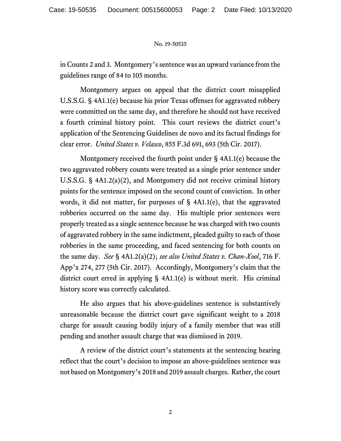## No. 19-50535

in Counts 2 and 3. Montgomery's sentence was an upward variance from the guidelines range of 84 to 105 months.

Montgomery argues on appeal that the district court misapplied U.S.S.G. § 4A1.1(e) because his prior Texas offenses for aggravated robbery were committed on the same day, and therefore he should not have received a fourth criminal history point. This court reviews the district court's application of the Sentencing Guidelines de novo and its factual findings for clear error. United States v. Velasco, 855 F.3d 691, 693 (5th Cir. 2017).

Montgomery received the fourth point under § 4A1.1(e) because the two aggravated robbery counts were treated as a single prior sentence under U.S.S.G. § 4A1.2(a)(2), and Montgomery did not receive criminal history points for the sentence imposed on the second count of conviction. In other words, it did not matter, for purposes of  $\S$  4A1.1(e), that the aggravated robberies occurred on the same day. His multiple prior sentences were properly treated as a single sentence because he was charged with two counts of aggravated robbery in the same indictment, pleaded guilty to each of those robberies in the same proceeding, and faced sentencing for both counts on the same day. See § 4A1.2(a)(2); see also United States v. Chan-Xool, 716 F. App'x 274, 277 (5th Cir. 2017). Accordingly, Montgomery's claim that the district court erred in applying § 4A1.1(e) is without merit. His criminal history score was correctly calculated.

He also argues that his above-guidelines sentence is substantively unreasonable because the district court gave significant weight to a 2018 charge for assault causing bodily injury of a family member that was still pending and another assault charge that was dismissed in 2019.

A review of the district court's statements at the sentencing hearing reflect that the court's decision to impose an above-guidelines sentence was not based on Montgomery's 2018 and 2019 assault charges. Rather, the court